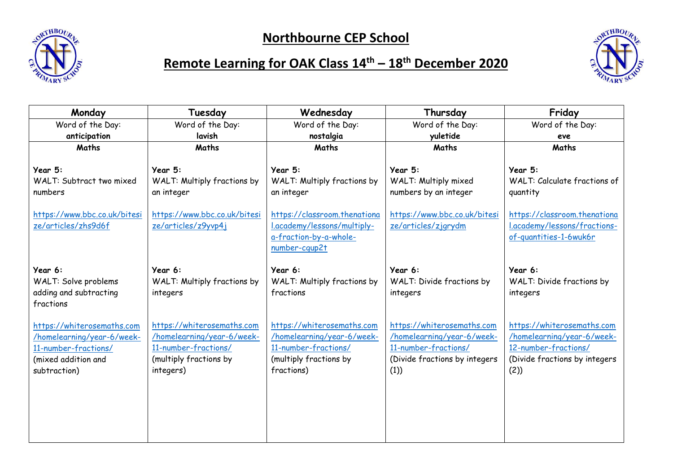



## **Remote Learning for OAK Class 14th – 18th December 2020**

| Monday                                                                                                                  | Tuesday                                                                                                                 | Wednesday                                                                                                                | Thursday                                                                                                                  | Friday                                                                                                                   |
|-------------------------------------------------------------------------------------------------------------------------|-------------------------------------------------------------------------------------------------------------------------|--------------------------------------------------------------------------------------------------------------------------|---------------------------------------------------------------------------------------------------------------------------|--------------------------------------------------------------------------------------------------------------------------|
| Word of the Day:                                                                                                        | Word of the Day:                                                                                                        | Word of the Day:                                                                                                         | Word of the Day:                                                                                                          | Word of the Day:                                                                                                         |
| anticipation                                                                                                            | lavish                                                                                                                  | nostalgia                                                                                                                | yuletide                                                                                                                  | eve                                                                                                                      |
| Maths                                                                                                                   | Maths                                                                                                                   | Maths                                                                                                                    | Maths                                                                                                                     | Maths                                                                                                                    |
| Year 5:<br>WALT: Subtract two mixed<br>numbers                                                                          | Year 5:<br>WALT: Multiply fractions by<br>an integer                                                                    | Year 5:<br>WALT: Multiply fractions by<br>an integer                                                                     | Year 5:<br>WALT: Multiply mixed<br>numbers by an integer                                                                  | Year 5:<br><b>WALT: Calculate fractions of</b><br>quantity                                                               |
| https://www.bbc.co.uk/bitesi<br>ze/articles/zhs9d6f                                                                     | https://www.bbc.co.uk/bitesi<br>ze/articles/z9yvp4j                                                                     | https://classroom.thenationa<br>I.academy/lessons/multiply-<br>a-fraction-by-a-whole-<br>number-cqup2t                   | https://www.bbc.co.uk/bitesi<br>ze/articles/zjgrydm                                                                       | https://classroom.thenationa<br>.academy/lessons/fractions-<br>of-quantities-1-6wuk6r                                    |
| Year 6:<br>WALT: Solve problems<br>adding and subtracting<br>fractions                                                  | Year 6:<br>WALT: Multiply fractions by<br>integers                                                                      | Year 6:<br>WALT: Multiply fractions by<br>fractions                                                                      | Year 6:<br>WALT: Divide fractions by<br>integers                                                                          | Year 6:<br>WALT: Divide fractions by<br>integers                                                                         |
| https://whiterosemaths.com<br>/homelearning/year-6/week-<br>11-number-fractions/<br>(mixed addition and<br>subtraction) | https://whiterosemaths.com<br>/homelearning/year-6/week-<br>11-number-fractions/<br>(multiply fractions by<br>integers) | https://whiterosemaths.com<br>/homelearning/year-6/week-<br>11-number-fractions/<br>(multiply fractions by<br>fractions) | https://whiterosemaths.com<br>/homelearning/year-6/week-<br>11-number-fractions/<br>(Divide fractions by integers<br>(1)) | https://whiterosemaths.com<br>/homelearning/year-6/week-<br>12-number-fractions/<br>(Divide fractions by integers<br>(2) |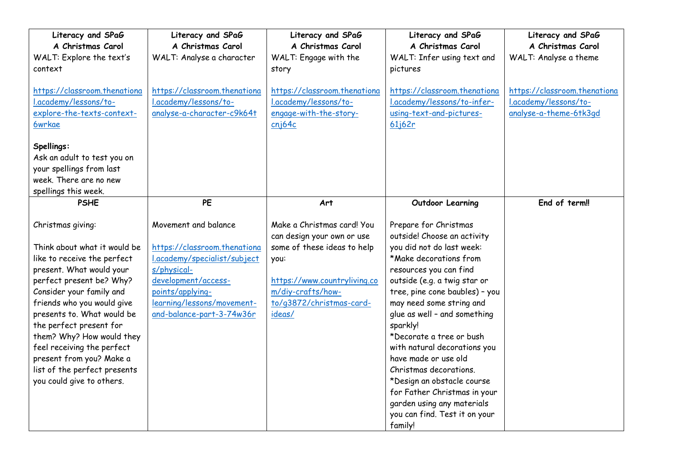| Literacy and SPaG            | Literacy and SPaG            | Literacy and SPaG            | Literacy and SPaG              | Literacy and SPaG            |
|------------------------------|------------------------------|------------------------------|--------------------------------|------------------------------|
| A Christmas Carol            | A Christmas Carol            | A Christmas Carol            | A Christmas Carol              | A Christmas Carol            |
| WALT: Explore the text's     | WALT: Analyse a character    | WALT: Engage with the        | WALT: Infer using text and     | WALT: Analyse a theme        |
| context                      |                              | story                        | pictures                       |                              |
|                              |                              |                              |                                |                              |
| https://classroom.thenationa | https://classroom.thenationa | https://classroom.thenationa | https://classroom.thenationa   | https://classroom.thenationa |
| .academy/lessons/to-         | .academy/lessons/to-         | l.academy/lessons/to-        | l.academy/lessons/to-infer-    | l.academy/lessons/to-        |
| explore-the-texts-context-   | analyse-a-character-c9k64t   | engage-with-the-story-       | using-text-and-pictures-       | analyse-a-theme-6tk3gd       |
| <b>6wrkae</b>                |                              | cnj64c                       | 61j62r                         |                              |
| Spellings:                   |                              |                              |                                |                              |
| Ask an adult to test you on  |                              |                              |                                |                              |
| your spellings from last     |                              |                              |                                |                              |
| week. There are no new       |                              |                              |                                |                              |
| spellings this week.         |                              |                              |                                |                              |
| <b>PSHE</b>                  | <b>PE</b>                    | Art                          | Outdoor Learning               | End of term!!                |
|                              |                              |                              |                                |                              |
| Christmas giving:            | Movement and balance         | Make a Christmas card! You   | Prepare for Christmas          |                              |
|                              |                              | can design your own or use   | outside! Choose an activity    |                              |
| Think about what it would be | https://classroom.thenationa | some of these ideas to help  | you did not do last week:      |                              |
| like to receive the perfect  | .academy/specialist/subject  | you:                         | *Make decorations from         |                              |
| present. What would your     | s/physical-                  |                              | resources you can find         |                              |
| perfect present be? Why?     | development/access-          | https://www.countryliving.co | outside (e.g. a twig star or   |                              |
| Consider your family and     | points/applying-             | m/diy-crafts/how-            | tree, pine cone baubles) - you |                              |
| friends who you would give   | learning/lessons/movement-   | to/g3872/christmas-card-     | may need some string and       |                              |
| presents to. What would be   | and-balance-part-3-74w36r    | ideas/                       | glue as well - and something   |                              |
| the perfect present for      |                              |                              | sparkly!                       |                              |
| them? Why? How would they    |                              |                              | *Decorate a tree or bush       |                              |
| feel receiving the perfect   |                              |                              | with natural decorations you   |                              |
| present from you? Make a     |                              |                              | have made or use old           |                              |
| list of the perfect presents |                              |                              | Christmas decorations.         |                              |
| you could give to others.    |                              |                              | *Design an obstacle course     |                              |
|                              |                              |                              | for Father Christmas in your   |                              |
|                              |                              |                              | garden using any materials     |                              |
|                              |                              |                              | you can find. Test it on your  |                              |
|                              |                              |                              | family!                        |                              |